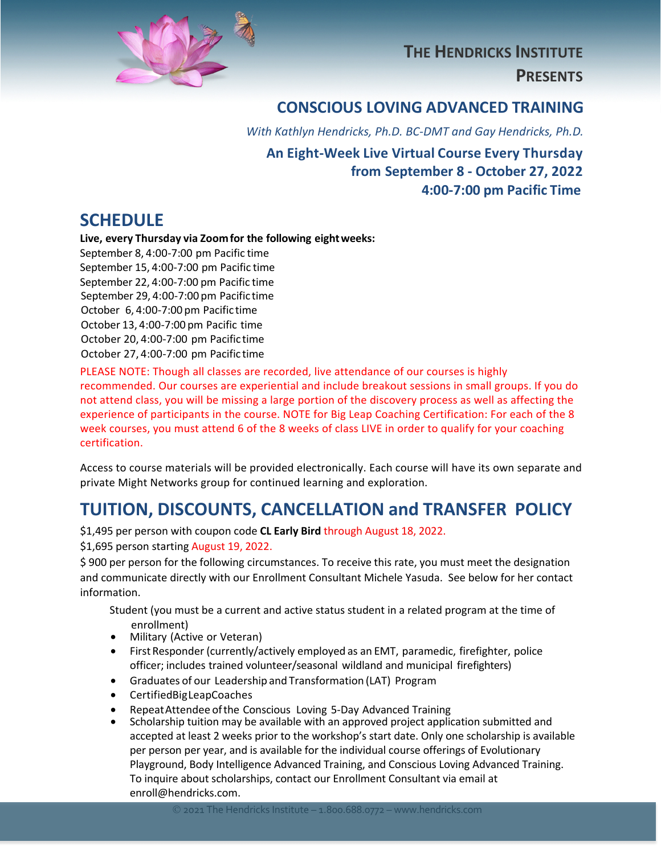

## **THE HENDRICKS INSTITUTE PRESENTS**

#### **CONSCIOUS LOVING ADVANCED TRAINING**

*With Kathlyn Hendricks, Ph.D. BC-DMT and Gay Hendricks, Ph.D.* **An Eight-Week Live Virtual Course Every Thursday from September 8 - October 27, 2022 4:00-7:00 pm Pacific Time**

#### **SCHEDULE**

**Live, every Thursday via Zoomfor the following eightweeks:** 

September 8, 4:00-7:00 pm Pacific time September 15, 4:00-7:00 pm Pacific time September 22, 4:00-7:00 pm Pacific time September 29, 4:00-7:00 pm Pacific time October 6, 4:00-7:00 pm Pacific time October 13, 4:00-7:00 pm Pacific time October 20, 4:00-7:00 pm Pacific time October 27, 4:00-7:00 pm Pacific time

PLEASE NOTE: Though all classes are recorded, live attendance of our courses is highly recommended. Our courses are experiential and include breakout sessions in small groups. If you do not attend class, you will be missing a large portion of the discovery process as well as affecting the experience of participants in the course. NOTE for Big Leap Coaching Certification: For each of the 8 week courses, you must attend 6 of the 8 weeks of class LIVE in order to qualify for your coaching certification.

Access to course materials will be provided electronically. Each course will have its own separate and private Might Networks group for continued learning and exploration.

# **TUITION, DISCOUNTS, CANCELLATION and TRANSFER POLICY**

\$1,495 per person with coupon code **CL Early Bird** through August 18, 2022.

\$1,695 person starting August 19, 2022.

\$ 900 per person for the following circumstances. To receive this rate, you must meet the designation and communicate directly with our Enrollment Consultant Michele Yasuda. See below for her contact information.

Student (you must be a current and active status student in a related program at the time of enrollment)

- Military (Active or Veteran)
- First Responder (currently/actively employed as an EMT, paramedic, firefighter, police officer; includes trained volunteer/seasonal wildland and municipal firefighters)
- Graduates of our Leadership and Transformation (LAT) Program
- CertifiedBigLeapCoaches
- RepeatAttendee ofthe Conscious Loving 5-Day Advanced Training
- Scholarship tuition may be available with an approved project application submitted and accepted at least 2 weeks prior to the workshop's start date. Only one scholarship is available per person per year, and is available for the individual course offerings of Evolutionary Playground, Body Intelligence Advanced Training, and Conscious Loving Advanced Training. To inquire about scholarships, contact our Enrollment Consultant via email at enroll@hendricks.com.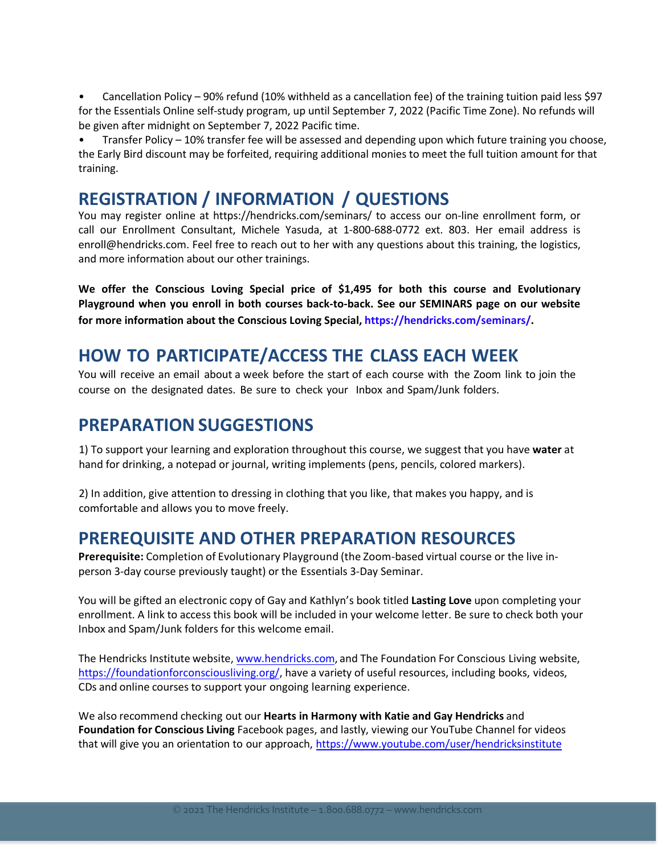• Cancellation Policy – 90% refund (10% withheld as a cancellation fee) of the training tuition paid less \$97 for the Essentials Online self-study program, up until September 7, 2022 (Pacific Time Zone). No refunds will be given after midnight on September 7, 2022 Pacific time.

• Transfer Policy – 10% transfer fee will be assessed and depending upon which future training you choose, the Early Bird discount may be forfeited, requiring additional monies to meet the full tuition amount for that training.

#### **REGISTRATION / INFORMATION / QUESTIONS**

You may register online at https://hendricks.com/seminars/ to access our on-line enrollment form, or call our Enrollment Consultant, Michele Yasuda, at 1-800-688-0772 ext. 803. Her email address is enroll@hendricks.com. Feel free to reach out to her with any questions about this training, the logistics, and more information about our other trainings.

**We offer the Conscious Loving Special price of \$1,495 for both this course and Evolutionary Playground when you enroll in both courses back-to-back. See our SEMINARS page on our website for more information about the Conscious Loving Special, [https://hendricks.com/seminars/.](https://hendricks.com/seminars/)** 

#### **HOW TO PARTICIPATE/ACCESS THE CLASS EACH WEEK**

You will receive an email about a week before the start of each course with the Zoom link to join the course on the designated dates. Be sure to check your Inbox and Spam/Junk folders.

### **PREPARATIONSUGGESTIONS**

1) To support your learning and exploration throughout this course, we suggest that you have **water** at hand for drinking, a notepad or journal, writing implements (pens, pencils, colored markers).

2) In addition, give attention to dressing in clothing that you like, that makes you happy, and is comfortable and allows you to move freely.

#### **PREREQUISITE AND OTHER PREPARATION RESOURCES**

**Prerequisite:** Completion of Evolutionary Playground (the Zoom-based virtual course or the live inperson 3-day course previously taught) or the Essentials 3-Day Seminar.

You will be gifted an electronic copy of Gay and Kathlyn's book titled **Lasting Love** upon completing your enrollment. A link to access this book will be included in your welcome letter. Be sure to check both your Inbox and Spam/Junk folders for this welcome email.

The Hendricks Institute website, www.hendricks.com, and The Foundation For Conscious Living website, https://foundationforconsciousliving.org/, have a variety of useful resources, including books, videos, CDs and online courses to support your ongoing learning experience.

We also recommend checking out our **Hearts in Harmony with Katie and Gay Hendricks** and **Foundation for Conscious Living** Facebook pages, and lastly, viewing our YouTube Channel for videos that will give you an orientation to our approach, https://www.youtube.com/user/hendricksinstitute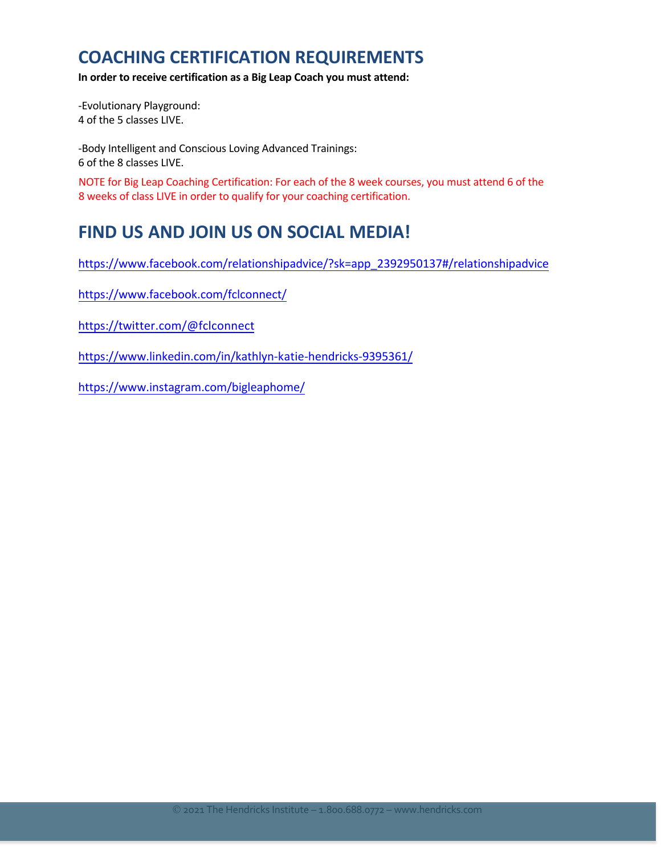## **COACHING CERTIFICATION REQUIREMENTS**

**In order to receive certification as a Big Leap Coach you must attend:**

-Evolutionary Playground: 4 of the 5 classes LIVE.

-Body Intelligent and Conscious Loving Advanced Trainings: 6 of the 8 classes LIVE.

NOTE for Big Leap Coaching Certification: For each of the 8 week courses, you must attend 6 of the 8 weeks of class LIVE in order to qualify for your coaching certification.

## **FIND US AND JOIN US ON SOCIAL MEDIA!**

https://www.facebook.com/relationshipadvice/?sk=app\_2392950137#/relationshipadvice

https://www.facebook.com/fclconnect/

https://twitter.com/@fclconnect

https://www.linkedin.com/in/kathlyn-katie-hendricks-9395361/

https://www.instagram.com/bigleaphome/